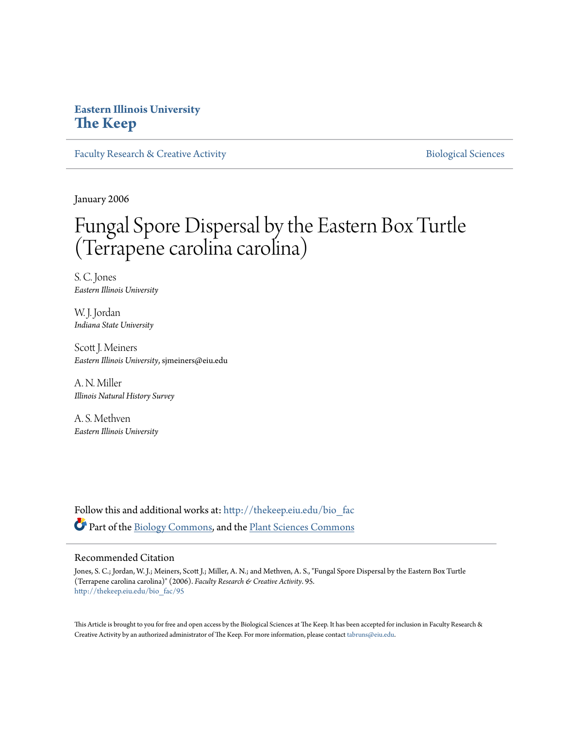# **Eastern Illinois University [The Keep](http://thekeep.eiu.edu?utm_source=thekeep.eiu.edu%2Fbio_fac%2F95&utm_medium=PDF&utm_campaign=PDFCoverPages)**

[Faculty Research & Creative Activity](http://thekeep.eiu.edu/bio_fac?utm_source=thekeep.eiu.edu%2Fbio_fac%2F95&utm_medium=PDF&utm_campaign=PDFCoverPages) **[Biological Sciences](http://thekeep.eiu.edu/bio?utm_source=thekeep.eiu.edu%2Fbio_fac%2F95&utm_medium=PDF&utm_campaign=PDFCoverPages)** Biological Sciences

January 2006

# Fungal Spore Dispersal by the Eastern Box Turtle (Terrapene carolina carolina)

S. C. Jones *Eastern Illinois University*

W. J. Jordan *Indiana State University*

Scott J. Meiners *Eastern Illinois University*, sjmeiners@eiu.edu

A. N. Miller *Illinois Natural History Survey*

A. S. Methven *Eastern Illinois University*

Follow this and additional works at: [http://thekeep.eiu.edu/bio\\_fac](http://thekeep.eiu.edu/bio_fac?utm_source=thekeep.eiu.edu%2Fbio_fac%2F95&utm_medium=PDF&utm_campaign=PDFCoverPages) Part of the [Biology Commons,](http://network.bepress.com/hgg/discipline/41?utm_source=thekeep.eiu.edu%2Fbio_fac%2F95&utm_medium=PDF&utm_campaign=PDFCoverPages) and the [Plant Sciences Commons](http://network.bepress.com/hgg/discipline/102?utm_source=thekeep.eiu.edu%2Fbio_fac%2F95&utm_medium=PDF&utm_campaign=PDFCoverPages)

### Recommended Citation

Jones, S. C.; Jordan, W. J.; Meiners, Scott J.; Miller, A. N.; and Methven, A. S., "Fungal Spore Dispersal by the Eastern Box Turtle (Terrapene carolina carolina)" (2006). *Faculty Research & Creative Activity*. 95. [http://thekeep.eiu.edu/bio\\_fac/95](http://thekeep.eiu.edu/bio_fac/95?utm_source=thekeep.eiu.edu%2Fbio_fac%2F95&utm_medium=PDF&utm_campaign=PDFCoverPages)

This Article is brought to you for free and open access by the Biological Sciences at The Keep. It has been accepted for inclusion in Faculty Research & Creative Activity by an authorized administrator of The Keep. For more information, please contact [tabruns@eiu.edu.](mailto:tabruns@eiu.edu)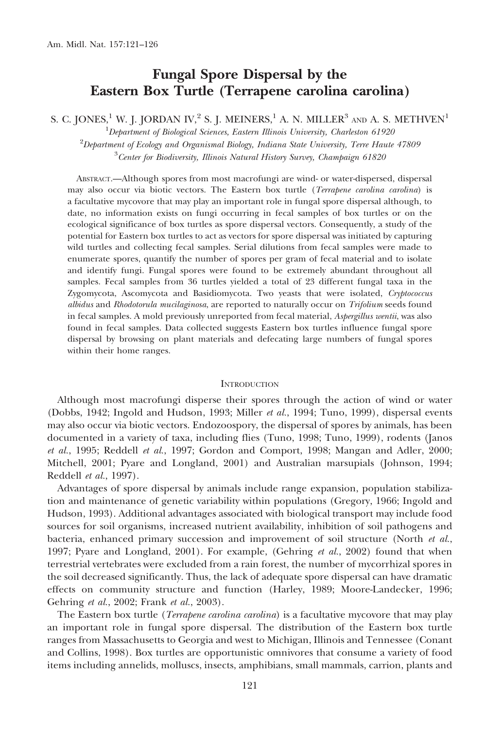## Fungal Spore Dispersal by the Eastern Box Turtle (Terrapene carolina carolina)

S. C. JONES,<sup>1</sup> W. J. JORDAN IV,<sup>2</sup> S. J. MEINERS,<sup>1</sup> A. N. MILLER<sup>3</sup> AND A. S. METHVEN<sup>1</sup>

 $^1$ Department of Biological Sciences, Eastern Illinois University, Charleston 61920  $^2$ Department of Ecology and Organismal Biology, Indiana State University, Terre Haute 47809  $^3$ Center for Biodiversity, Illinois Natural History Survey, Champaign 61820

ABSTRACT.—Although spores from most macrofungi are wind- or water-dispersed, dispersal may also occur via biotic vectors. The Eastern box turtle (Terrapene carolina carolina) is a facultative mycovore that may play an important role in fungal spore dispersal although, to date, no information exists on fungi occurring in fecal samples of box turtles or on the ecological significance of box turtles as spore dispersal vectors. Consequently, a study of the potential for Eastern box turtles to act as vectors for spore dispersal was initiated by capturing wild turtles and collecting fecal samples. Serial dilutions from fecal samples were made to enumerate spores, quantify the number of spores per gram of fecal material and to isolate and identify fungi. Fungal spores were found to be extremely abundant throughout all samples. Fecal samples from 36 turtles yielded a total of 23 different fungal taxa in the Zygomycota, Ascomycota and Basidiomycota. Two yeasts that were isolated, Cryptococcus albidus and Rhodotorula mucilaginosa, are reported to naturally occur on Trifolium seeds found in fecal samples. A mold previously unreported from fecal material, Aspergillus wentii, was also found in fecal samples. Data collected suggests Eastern box turtles influence fungal spore dispersal by browsing on plant materials and defecating large numbers of fungal spores within their home ranges.

#### **INTRODUCTION**

Although most macrofungi disperse their spores through the action of wind or water (Dobbs, 1942; Ingold and Hudson, 1993; Miller et al., 1994; Tuno, 1999), dispersal events may also occur via biotic vectors. Endozoospory, the dispersal of spores by animals, has been documented in a variety of taxa, including flies (Tuno, 1998; Tuno, 1999), rodents (Janos et al., 1995; Reddell et al., 1997; Gordon and Comport, 1998; Mangan and Adler, 2000; Mitchell, 2001; Pyare and Longland, 2001) and Australian marsupials (Johnson, 1994; Reddell et al., 1997).

Advantages of spore dispersal by animals include range expansion, population stabilization and maintenance of genetic variability within populations (Gregory, 1966; Ingold and Hudson, 1993). Additional advantages associated with biological transport may include food sources for soil organisms, increased nutrient availability, inhibition of soil pathogens and bacteria, enhanced primary succession and improvement of soil structure (North  $et al.,$ 1997; Pyare and Longland, 2001). For example, (Gehring et al., 2002) found that when terrestrial vertebrates were excluded from a rain forest, the number of mycorrhizal spores in the soil decreased significantly. Thus, the lack of adequate spore dispersal can have dramatic effects on community structure and function (Harley, 1989; Moore-Landecker, 1996; Gehring et al., 2002; Frank et al., 2003).

The Eastern box turtle (*Terrapene carolina carolina*) is a facultative mycovore that may play an important role in fungal spore dispersal. The distribution of the Eastern box turtle ranges from Massachusetts to Georgia and west to Michigan, Illinois and Tennessee (Conant and Collins, 1998). Box turtles are opportunistic omnivores that consume a variety of food items including annelids, molluscs, insects, amphibians, small mammals, carrion, plants and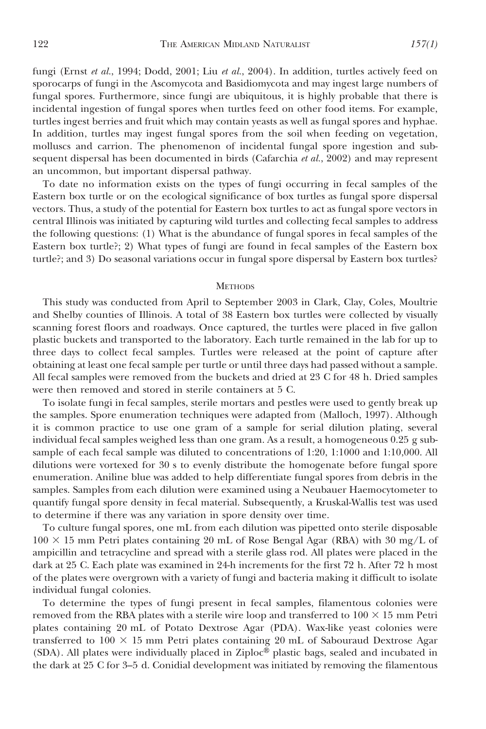fungi (Ernst et al., 1994; Dodd, 2001; Liu et al., 2004). In addition, turtles actively feed on sporocarps of fungi in the Ascomycota and Basidiomycota and may ingest large numbers of fungal spores. Furthermore, since fungi are ubiquitous, it is highly probable that there is incidental ingestion of fungal spores when turtles feed on other food items. For example, turtles ingest berries and fruit which may contain yeasts as well as fungal spores and hyphae. In addition, turtles may ingest fungal spores from the soil when feeding on vegetation, molluscs and carrion. The phenomenon of incidental fungal spore ingestion and subsequent dispersal has been documented in birds (Cafarchia  $et al., 2002$ ) and may represent an uncommon, but important dispersal pathway.

To date no information exists on the types of fungi occurring in fecal samples of the Eastern box turtle or on the ecological significance of box turtles as fungal spore dispersal vectors. Thus, a study of the potential for Eastern box turtles to act as fungal spore vectors in central Illinois was initiated by capturing wild turtles and collecting fecal samples to address the following questions: (1) What is the abundance of fungal spores in fecal samples of the Eastern box turtle?; 2) What types of fungi are found in fecal samples of the Eastern box turtle?; and 3) Do seasonal variations occur in fungal spore dispersal by Eastern box turtles?

#### **METHODS**

This study was conducted from April to September 2003 in Clark, Clay, Coles, Moultrie and Shelby counties of Illinois. A total of 38 Eastern box turtles were collected by visually scanning forest floors and roadways. Once captured, the turtles were placed in five gallon plastic buckets and transported to the laboratory. Each turtle remained in the lab for up to three days to collect fecal samples. Turtles were released at the point of capture after obtaining at least one fecal sample per turtle or until three days had passed without a sample. All fecal samples were removed from the buckets and dried at 23 C for 48 h. Dried samples were then removed and stored in sterile containers at 5 C.

To isolate fungi in fecal samples, sterile mortars and pestles were used to gently break up the samples. Spore enumeration techniques were adapted from (Malloch, 1997). Although it is common practice to use one gram of a sample for serial dilution plating, several individual fecal samples weighed less than one gram. As a result, a homogeneous 0.25 g subsample of each fecal sample was diluted to concentrations of 1:20, 1:1000 and 1:10,000. All dilutions were vortexed for 30 s to evenly distribute the homogenate before fungal spore enumeration. Aniline blue was added to help differentiate fungal spores from debris in the samples. Samples from each dilution were examined using a Neubauer Haemocytometer to quantify fungal spore density in fecal material. Subsequently, a Kruskal-Wallis test was used to determine if there was any variation in spore density over time.

To culture fungal spores, one mL from each dilution was pipetted onto sterile disposable  $100 \times 15$  mm Petri plates containing 20 mL of Rose Bengal Agar (RBA) with 30 mg/L of ampicillin and tetracycline and spread with a sterile glass rod. All plates were placed in the dark at 25 C. Each plate was examined in 24-h increments for the first 72 h. After 72 h most of the plates were overgrown with a variety of fungi and bacteria making it difficult to isolate individual fungal colonies.

To determine the types of fungi present in fecal samples, filamentous colonies were removed from the RBA plates with a sterile wire loop and transferred to  $100 \times 15$  mm Petri plates containing 20 mL of Potato Dextrose Agar (PDA). Wax-like yeast colonies were transferred to  $100 \times 15$  mm Petri plates containing 20 mL of Sabouraud Dextrose Agar (SDA). All plates were individually placed in Ziploc<sup>®</sup> plastic bags, sealed and incubated in the dark at 25 C for 3–5 d. Conidial development was initiated by removing the filamentous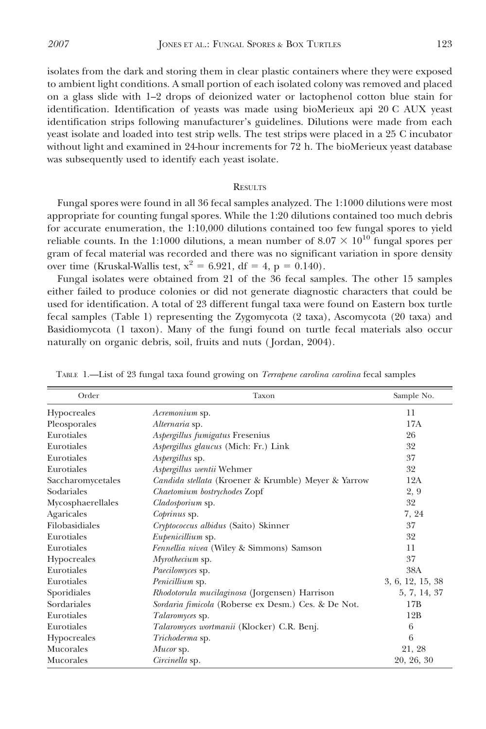isolates from the dark and storing them in clear plastic containers where they were exposed to ambient light conditions. A small portion of each isolated colony was removed and placed on a glass slide with 1–2 drops of deionized water or lactophenol cotton blue stain for identification. Identification of yeasts was made using bioMerieux api 20 C AUX yeast identification strips following manufacturer's guidelines. Dilutions were made from each yeast isolate and loaded into test strip wells. The test strips were placed in a 25 C incubator without light and examined in 24-hour increments for 72 h. The bioMerieux yeast database was subsequently used to identify each yeast isolate.

#### **RESULTS**

Fungal spores were found in all 36 fecal samples analyzed. The 1:1000 dilutions were most appropriate for counting fungal spores. While the 1:20 dilutions contained too much debris for accurate enumeration, the 1:10,000 dilutions contained too few fungal spores to yield reliable counts. In the 1:1000 dilutions, a mean number of  $8.07 \times 10^{10}$  fungal spores per gram of fecal material was recorded and there was no significant variation in spore density over time (Kruskal-Wallis test,  $x^2 = 6.921$ , df = 4, p = 0.140).

Fungal isolates were obtained from 21 of the 36 fecal samples. The other 15 samples either failed to produce colonies or did not generate diagnostic characters that could be used for identification. A total of 23 different fungal taxa were found on Eastern box turtle fecal samples (Table 1) representing the Zygomycota (2 taxa), Ascomycota (20 taxa) and Basidiomycota (1 taxon). Many of the fungi found on turtle fecal materials also occur naturally on organic debris, soil, fruits and nuts ( Jordan, 2004).

| Order             | Taxon                                               | Sample No.       |
|-------------------|-----------------------------------------------------|------------------|
| Hypocreales       | Acremonium sp.                                      | 11               |
| Pleosporales      | Alternaria sp.                                      | 17A              |
| Eurotiales        | Aspergillus fumigatus Fresenius                     | 26               |
| Eurotiales        | Aspergillus glaucus (Mich: Fr.) Link                | 32               |
| Eurotiales        | Aspergillus sp.                                     | 37               |
| Eurotiales        | Aspergillus wentii Wehmer                           | 32               |
| Saccharomycetales | Candida stellata (Kroener & Krumble) Meyer & Yarrow | 12A              |
| Sodariales        | Chaetomium bostrychodes Zopf                        | 2, 9             |
| Mycosphaerellales | Cladosporium sp.                                    | 32               |
| Agaricales        | Coprinus sp.                                        | 7, 24            |
| Filobasidiales    | Cryptococcus albidus (Saito) Skinner                | 37               |
| Eurotiales        | Eupenicillium sp.                                   | 32               |
| Eurotiales        | Fennellia nivea (Wiley & Simmons) Samson            | 11               |
| Hypocreales       | Myrothecium sp.                                     | 37               |
| Eurotiales        | Paecilomyces sp.                                    | 38A              |
| Eurotiales        | Penicillium sp.                                     | 3, 6, 12, 15, 38 |
| Sporidiales       | Rhodotorula mucilaginosa (Jorgensen) Harrison       | 5, 7, 14, 37     |
| Sordariales       | Sordaria fimicola (Roberse ex Desm.) Ces. & De Not. | 17B              |
| Eurotiales        | Talaromyces sp.                                     | 12B              |
| Eurotiales        | Talaromyces wortmanii (Klocker) C.R. Benj.          | 6                |
| Hypocreales       | Trichoderma sp.                                     | 6                |
| Mucorales         | Mucor sp.                                           | 21, 28           |
| Mucorales         | Circinella sp.                                      | 20, 26, 30       |

TABLE 1.—List of 23 fungal taxa found growing on Terrapene carolina carolina fecal samples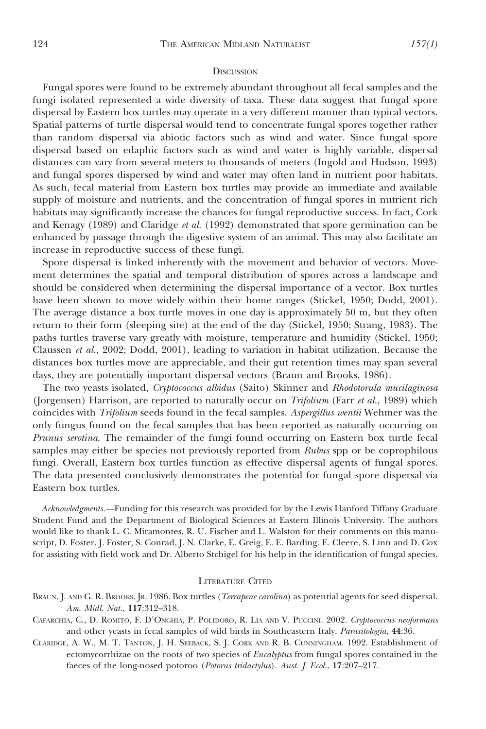#### **DISCUSSION**

Fungal spores were found to be extremely abundant throughout all fecal samples and the fungi isolated represented a wide diversity of taxa. These data suggest that fungal spore dispersal by Eastern box turtles may operate in a very different manner than typical vectors. Spatial patterns of turtle dispersal would tend to concentrate fungal spores together rather than random dispersal via abiotic factors such as wind and water. Since fungal spore dispersal based on edaphic factors such as wind and water is highly variable, dispersal distances can vary from several meters to thousands of meters (Ingold and Hudson, 1993) and fungal spores dispersed by wind and water may often land in nutrient poor habitats. As such, fecal material from Eastern box turtles may provide an immediate and available supply of moisture and nutrients, and the concentration of fungal spores in nutrient rich habitats may significantly increase the chances for fungal reproductive success. In fact, Cork and Kenagy (1989) and Claridge et al. (1992) demonstrated that spore germination can be enhanced by passage through the digestive system of an animal. This may also facilitate an increase in reproductive success of these fungi.

Spore dispersal is linked inherently with the movement and behavior of vectors. Movement determines the spatial and temporal distribution of spores across a landscape and should be considered when determining the dispersal importance of a vector. Box turtles have been shown to move widely within their home ranges (Stickel, 1950; Dodd, 2001). The average distance a box turtle moves in one day is approximately 50 m, but they often return to their form (sleeping site) at the end of the day (Stickel, 1950; Strang, 1983). The paths turtles traverse vary greatly with moisture, temperature and humidity (Stickel, 1950; Claussen et al., 2002; Dodd, 2001), leading to variation in habitat utilization. Because the distances box turtles move are appreciable, and their gut retention times may span several days, they are potentially important dispersal vectors (Braun and Brooks, 1986).

The two yeasts isolated, Cryptococcus albidus (Saito) Skinner and Rhodotorula mucilaginosa (Jorgensen) Harrison, are reported to naturally occur on *Trifolium* (Farr *et al.*, 1989) which coincides with Trifolium seeds found in the fecal samples. Aspergillus wentii Wehmer was the only fungus found on the fecal samples that has been reported as naturally occurring on Prunus serotina. The remainder of the fungi found occurring on Eastern box turtle fecal samples may either be species not previously reported from Rubus spp or be coprophilous fungi. Overall, Eastern box turtles function as effective dispersal agents of fungal spores. The data presented conclusively demonstrates the potential for fungal spore dispersal via Eastern box turtles.

Acknowledgments.—Funding for this research was provided for by the Lewis Hanford Tiffany Graduate Student Fund and the Department of Biological Sciences at Eastern Illinois University. The authors would like to thank L. C. Miramontes, R. U. Fischer and L. Walston for their comments on this manuscript, D. Foster, J. Foster, S. Conrad, J. N. Clarke, E. Greig, E. E. Barding, E. Cleere, S. Linn and D. Cox for assisting with field work and Dr. Alberto Stchigel for his help in the identification of fungal species.

#### LITERATURE CITED

- BRAUN, J. AND G. R. BROOKS, JR. 1986. Box turtles (*Terrapene carolina*) as potential agents for seed dispersal. Am. Midl. Nat., 117:312–318.
- CAFARCHIA, C., D. ROMITO, F. D'ONGHIA, P. POLIDORO, R. LIA AND V. PUCCINI. 2002. Cryptococcus neoformans and other yeasts in fecal samples of wild birds in Southeastern Italy. Parasitologia, 44:36.
- CLARIDGE, A. W., M. T. TANTON, J. H. SEEBACK, S. J. CORK AND R. B. CUNNINGHAM. 1992. Establishment of ectomycorrhizae on the roots of two species of Eucalyptus from fungal spores contained in the faeces of the long-nosed potoroo (Potorus tridactylus). Aust. J. Ecol., 17:207–217.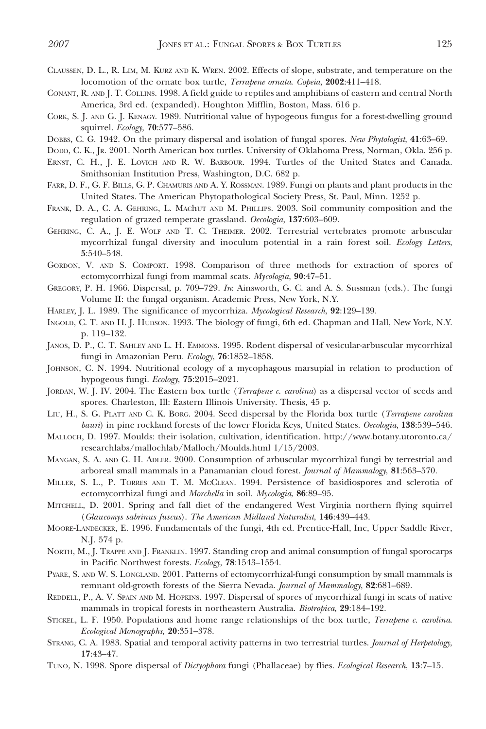- 
- CLAUSSEN, D. L., R. LIM, M. KURZ AND K. WREN. 2002. Effects of slope, substrate, and temperature on the locomotion of the ornate box turtle, *Terrapene ornata*. Copeia, 2002:411-418.
- CONANT, R. AND J. T. COLLINS. 1998. A field guide to reptiles and amphibians of eastern and central North America, 3rd ed. (expanded). Houghton Mifflin, Boston, Mass. 616 p.
- CORK, S. J. AND G. J. KENAGY. 1989. Nutritional value of hypogeous fungus for a forest-dwelling ground squirrel. Ecology, 70:577–586.
- DOBBS, C. G. 1942. On the primary dispersal and isolation of fungal spores. New Phytologist, 41:63-69.
- DODD, C. K., JR. 2001. North American box turtles. University of Oklahoma Press, Norman, Okla. 256 p.
- ERNST, C. H., J. E. LOVICH AND R. W. BARBOUR. 1994. Turtles of the United States and Canada. Smithsonian Institution Press, Washington, D.C. 682 p.
- FARR, D. F., G. F. BILLS, G. P. CHAMURIS AND A. Y. ROSSMAN. 1989. Fungi on plants and plant products in the United States. The American Phytopathological Society Press, St. Paul, Minn. 1252 p.
- FRANK, D. A., C. A. GEHRING, L. MAChUT AND M. PHILLIPS. 2003. Soil community composition and the regulation of grazed temperate grassland. Oecologia, 137:603–609.
- GEHRING, C. A., J. E. WOLF AND T. C. THEIMER. 2002. Terrestrial vertebrates promote arbuscular mycorrhizal fungal diversity and inoculum potential in a rain forest soil. Ecology Letters, 5:540–548.
- GORDON, V. AND S. COMPORT. 1998. Comparison of three methods for extraction of spores of ectomycorrhizal fungi from mammal scats. Mycologia, 90:47–51.
- GREGORY, P. H. 1966. Dispersal, p. 709–729. In: Ainsworth, G. C. and A. S. Sussman (eds.). The fungi Volume II: the fungal organism. Academic Press, New York, N.Y.
- HARLEY, J. L. 1989. The significance of mycorrhiza. *Mycological Research*, **92**:129–139.
- INGOLD, C. T. AND H. J. HUDSON. 1993. The biology of fungi, 6th ed. Chapman and Hall, New York, N.Y. p. 119–132.
- JANOS, D. P., C. T. SAHLEY AND L. H. EMMONS. 1995. Rodent dispersal of vesicular-arbuscular mycorrhizal fungi in Amazonian Peru. Ecology, 76:1852–1858.
- JOHNSON, C. N. 1994. Nutritional ecology of a mycophagous marsupial in relation to production of hypogeous fungi. Ecology, 75:2015–2021.
- JORDAN, W. J. IV. 2004. The Eastern box turtle (*Terrapene c. carolina*) as a dispersal vector of seeds and spores. Charleston, Ill: Eastern Illinois University. Thesis, 45 p.
- LIU, H., S. G. PLATT AND C. K. BORG. 2004. Seed dispersal by the Florida box turtle (Terrapene carolina bauri) in pine rockland forests of the lower Florida Keys, United States. Oecologia, 138:539-546.
- MALLOCH, D. 1997. Moulds: their isolation, cultivation, identification. http://www.botany.utoronto.ca/ researchlabs/mallochlab/Malloch/Moulds.html 1/15/2003.
- MANGAN, S. A. AND G. H. ADLER. 2000. Consumption of arbuscular mycorrhizal fungi by terrestrial and arboreal small mammals in a Panamanian cloud forest. Journal of Mammalogy, 81:563–570.
- MILLER, S. L., P. TORRES AND T. M. MCCLEAN. 1994. Persistence of basidiospores and sclerotia of ectomycorrhizal fungi and Morchella in soil. Mycologia, 86:89–95.
- MITCHELL, D. 2001. Spring and fall diet of the endangered West Virginia northern flying squirrel (Glaucomys sabrinus fuscus). The American Midland Naturalist, 146:439–443.
- MOORE-LANDECKER, E. 1996. Fundamentals of the fungi, 4th ed. Prentice-Hall, Inc, Upper Saddle River, N.J. 574 p.
- NORTH, M., J. TRAPPE AND J. FRANKLIN. 1997. Standing crop and animal consumption of fungal sporocarps in Pacific Northwest forests. Ecology, 78:1543–1554.
- PYARE, S. AND W. S. LONGLAND. 2001. Patterns of ectomycorrhizal-fungi consumption by small mammals is remnant old-growth forests of the Sierra Nevada. Journal of Mammalogy, 82:681–689.
- REDDELL, P., A. V. SPAIN AND M. HOPKINS. 1997. Dispersal of spores of mycorrhizal fungi in scats of native mammals in tropical forests in northeastern Australia. Biotropica, 29:184–192.
- STICKEL, L. F. 1950. Populations and home range relationships of the box turtle, *Terrapene c. carolina*. Ecological Monographs, 20:351–378.
- STRANG, C. A. 1983. Spatial and temporal activity patterns in two terrestrial turtles. Journal of Herpetology, 17:43–47.
- TUNO, N. 1998. Spore dispersal of *Dictyophora* fungi (Phallaceae) by flies. *Ecological Research*, 13:7–15.